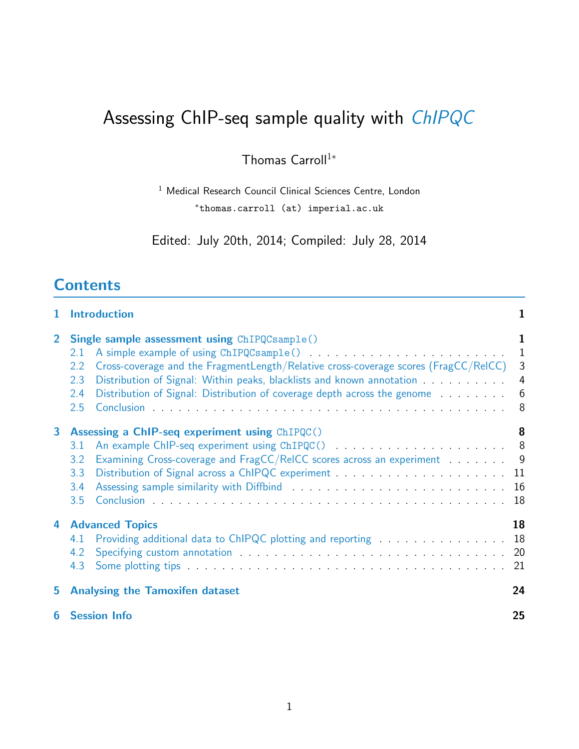# Assessing ChIP-seq sample quality with [ChIPQC](http://bioconductor.org/packages/release/bioc/html/ChIPQC.html)

Thomas Carroll<sup>1</sup><sup>\*</sup>

<sup>1</sup> Medical Research Council Clinical Sciences Centre, London <sup>∗</sup>thomas.carroll (at) imperial.ac.uk

Edited: July 20th, 2014; Compiled: July 28, 2014

## **Contents**

<span id="page-0-0"></span>

| $\mathbf 1$    | <b>Introduction</b>                                                                                                                                                                                                                                                                                                                                                       |                            |  |  |  |  |  |  |  |
|----------------|---------------------------------------------------------------------------------------------------------------------------------------------------------------------------------------------------------------------------------------------------------------------------------------------------------------------------------------------------------------------------|----------------------------|--|--|--|--|--|--|--|
| $\overline{2}$ | <b>Single sample assessment using ChIPQCsample()</b><br>2.1<br>Cross-coverage and the FragmentLength/Relative cross-coverage scores (FragCC/ReICC)<br>2.2<br>Distribution of Signal: Within peaks, blacklists and known annotation <b>Signal</b> Distribution of Signal:<br>2.3<br>Distribution of Signal: Distribution of coverage depth across the genome<br>2.4<br>2.5 | 1<br>1<br>3<br>4<br>6<br>8 |  |  |  |  |  |  |  |
| $\mathbf{3}$   | <b>Assessing a ChIP-seq experiment using ChIPQC()</b><br>3.1<br>Examining Cross-coverage and FragCC/ReICC scores across an experiment 9<br>3.2<br>3.3<br>3.4<br>3.5                                                                                                                                                                                                       | 8<br>18                    |  |  |  |  |  |  |  |
| 4              | <b>Advanced Topics</b><br>Providing additional data to ChIPQC plotting and reporting<br>4.1<br>4.2<br>4.3                                                                                                                                                                                                                                                                 | 18<br>18<br>20<br>21       |  |  |  |  |  |  |  |
| 5.             | <b>Analysing the Tamoxifen dataset</b>                                                                                                                                                                                                                                                                                                                                    | 24                         |  |  |  |  |  |  |  |
| 6              | 25<br><b>Session Info</b>                                                                                                                                                                                                                                                                                                                                                 |                            |  |  |  |  |  |  |  |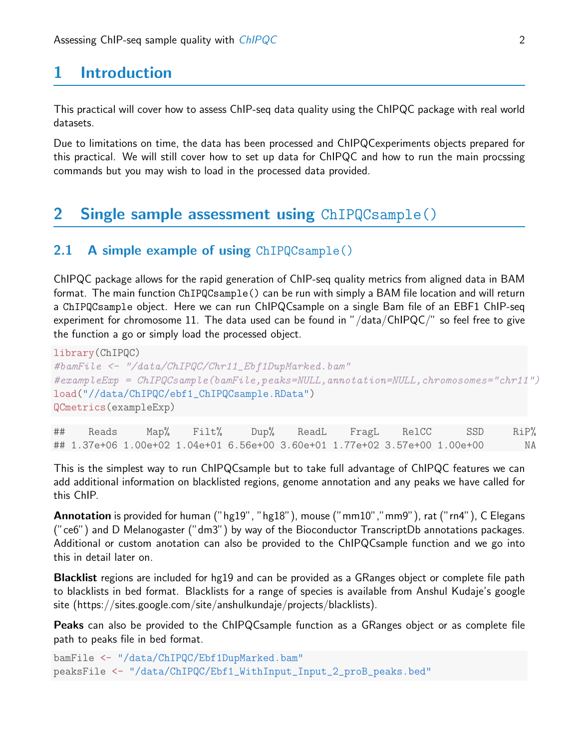## 1 Introduction

This practical will cover how to assess ChIP-seq data quality using the ChIPQC package with real world datasets.

Due to limitations on time, the data has been processed and ChIPQCexperiments objects prepared for this practical. We will still cover how to set up data for ChIPQC and how to run the main procssing commands but you may wish to load in the processed data provided.

## <span id="page-1-0"></span>2 Single sample assessment using ChIPQCsample()

### <span id="page-1-1"></span>2.1 A simple example of using ChIPQCsample()

ChIPQC package allows for the rapid generation of ChIP-seq quality metrics from aligned data in BAM format. The main function ChIPQCsample() can be run with simply a BAM file location and will return a ChIPQCsample object. Here we can run ChIPQCsample on a single Bam file of an EBF1 ChIP-seq experiment for chromosome 11. The data used can be found in "/data/ChIPQC/" so feel free to give the function a go or simply load the processed object.

```
library(ChIPQC)
#bamFile <- "/data/ChIPQC/Chr11_Ebf1DupMarked.bam"
#exampleExp = ChIPQCsample(bamFile,peaks=NULL,annotation=NULL,chromosomes="chr11")
load("//data/ChIPQC/ebf1_ChIPQCsample.RData")
QCmetrics(exampleExp)
```

|  |  |  |  | ## Reads Map% Filt% Dup% ReadL FragL RelCC SSD RiP%                               |    |
|--|--|--|--|-----------------------------------------------------------------------------------|----|
|  |  |  |  | ## 1.37e+06  1.00e+02  1.04e+01  6.56e+00  3.60e+01  1.77e+02  3.57e+00  1.00e+00 | ΝA |

This is the simplest way to run ChIPQCsample but to take full advantage of ChIPQC features we can add additional information on blacklisted regions, genome annotation and any peaks we have called for this ChIP.

Annotation is provided for human ("hg19", "hg18"), mouse ("mm10","mm9"), rat ("rn4"), C Elegans ("ce6") and D Melanogaster ("dm3") by way of the Bioconductor TranscriptDb annotations packages. Additional or custom anotation can also be provided to the ChIPQCsample function and we go into this in detail later on.

Blacklist regions are included for hg19 and can be provided as a GRanges object or complete file path to blacklists in bed format. Blacklists for a range of species is available from Anshul Kudaje's google site (https://sites.google.com/site/anshulkundaje/projects/blacklists).

Peaks can also be provided to the ChIPQCsample function as a GRanges object or as complete file path to peaks file in bed format.

```
bamFile <- "/data/ChIPQC/Ebf1DupMarked.bam"
peaksFile <- "/data/ChIPQC/Ebf1_WithInput_Input_2_proB_peaks.bed"
```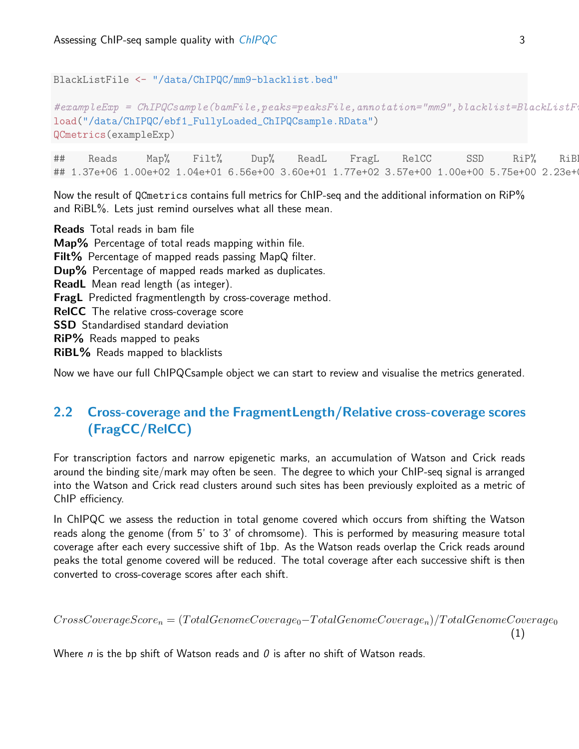BlackListFile <- "/data/ChIPQC/mm9-blacklist.bed"

```
\#exampleExp = ChIPQC sample(bamFile, peaks=peaksFile,annotation="mm9", blacklist=BlackListFF1load("/data/ChIPQC/ebf1_FullyLoaded_ChIPQCsample.RData")
QCmetrics(exampleExp)
```
## Reads Map% Filt% Dup% ReadL FragL RelCC SSD RiP% RiBL% ## 1.37e+06 1.00e+02 1.04e+01 6.56e+00 3.60e+01 1.77e+02 3.57e+00 1.00e+00 5.75e+00 2.23e+00

Now the result of QCmetrics contains full metrics for ChIP-seq and the additional information on RiP% and RiBL%. Lets just remind ourselves what all these mean.

Reads Total reads in bam file Map% Percentage of total reads mapping within file. Filt% Percentage of mapped reads passing MapQ filter. Dup% Percentage of mapped reads marked as duplicates. ReadL Mean read length (as integer). FragL Predicted fragmentlength by cross-coverage method. RelCC The relative cross-coverage score **SSD** Standardised standard deviation RiP% Reads mapped to peaks RiBL% Reads mapped to blacklists

Now we have our full ChIPQCsample object we can start to review and visualise the metrics generated.

## <span id="page-2-0"></span>2.2 Cross-coverage and the FragmentLength/Relative cross-coverage scores (FragCC/RelCC)

For transcription factors and narrow epigenetic marks, an accumulation of Watson and Crick reads around the binding site/mark may often be seen. The degree to which your ChIP-seq signal is arranged into the Watson and Crick read clusters around such sites has been previously exploited as a metric of ChIP efficiency.

In ChIPQC we assess the reduction in total genome covered which occurs from shifting the Watson reads along the genome (from 5' to 3' of chromsome). This is performed by measuring measure total coverage after each every successive shift of 1bp. As the Watson reads overlap the Crick reads around peaks the total genome covered will be reduced. The total coverage after each successive shift is then converted to cross-coverage scores after each shift.

$$
CrossCoverageScore_n = (TotalGenomeCoverage_0 - TotalGenomeCoverage_n)/TotalGenomeCoverage_0
$$
\n(1)

Where n is the bp shift of Watson reads and  $\theta$  is after no shift of Watson reads.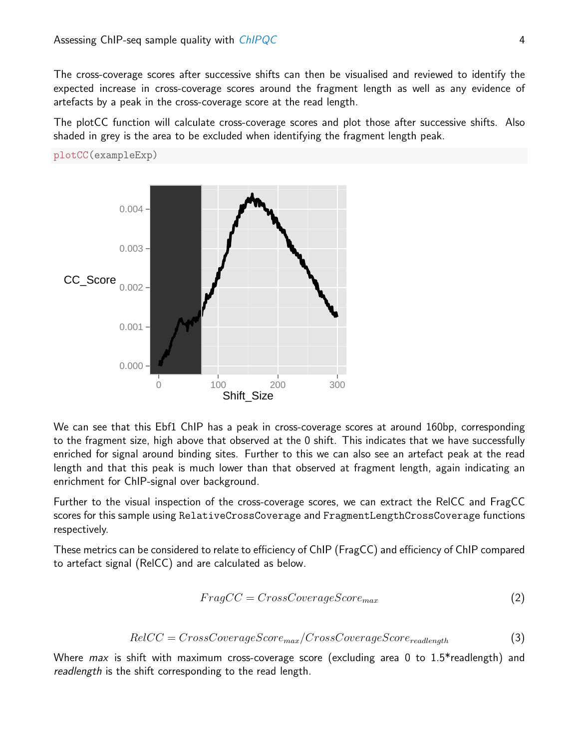plotCC(exampleExp)

The cross-coverage scores after successive shifts can then be visualised and reviewed to identify the expected increase in cross-coverage scores around the fragment length as well as any evidence of artefacts by a peak in the cross-coverage score at the read length.

The plotCC function will calculate cross-coverage scores and plot those after successive shifts. Also shaded in grey is the area to be excluded when identifying the fragment length peak.



We can see that this Ebf1 ChIP has a peak in cross-coverage scores at around 160bp, corresponding to the fragment size, high above that observed at the 0 shift. This indicates that we have successfully enriched for signal around binding sites. Further to this we can also see an artefact peak at the read length and that this peak is much lower than that observed at fragment length, again indicating an enrichment for ChIP-signal over background.

Further to the visual inspection of the cross-coverage scores, we can extract the RelCC and FragCC scores for this sample using RelativeCrossCoverage and FragmentLengthCrossCoverage functions respectively.

These metrics can be considered to relate to efficiency of ChIP (FragCC) and efficiency of ChIP compared to artefact signal (RelCC) and are calculated as below.

$$
FragCC = CrossCoverageScore_{max} \tag{2}
$$

$$
RelCC = CrossCoverageScore_{max}/CrossCoverageScore_{readlength}
$$
\n(3)

Where  $max$  is shift with maximum cross-coverage score (excluding area 0 to 1.5\* readlength) and readlength is the shift corresponding to the read length.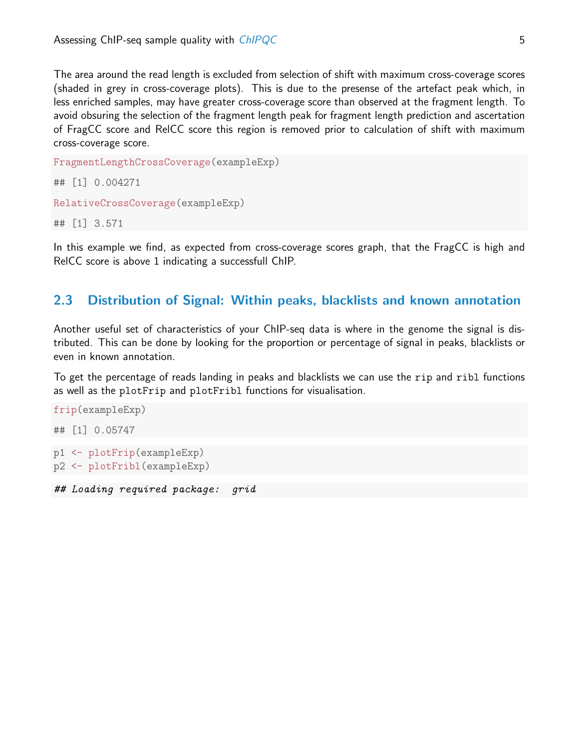The area around the read length is excluded from selection of shift with maximum cross-coverage scores (shaded in grey in cross-coverage plots). This is due to the presense of the artefact peak which, in less enriched samples, may have greater cross-coverage score than observed at the fragment length. To avoid obsuring the selection of the fragment length peak for fragment length prediction and ascertation of FragCC score and RelCC score this region is removed prior to calculation of shift with maximum cross-coverage score.

```
FragmentLengthCrossCoverage(exampleExp)
## [1] 0.004271
RelativeCrossCoverage(exampleExp)
## [1] 3.571
```
In this example we find, as expected from cross-coverage scores graph, that the FragCC is high and RelCC score is above 1 indicating a successfull ChIP.

### <span id="page-4-0"></span>2.3 Distribution of Signal: Within peaks, blacklists and known annotation

Another useful set of characteristics of your ChIP-seq data is where in the genome the signal is distributed. This can be done by looking for the proportion or percentage of signal in peaks, blacklists or even in known annotation.

To get the percentage of reads landing in peaks and blacklists we can use the rip and ribl functions as well as the plotFrip and plotFribl functions for visualisation.

```
frip(exampleExp)
## [1] 0.05747
p1 <- plotFrip(exampleExp)
p2 <- plotFribl(exampleExp)
```
## Loading required package: grid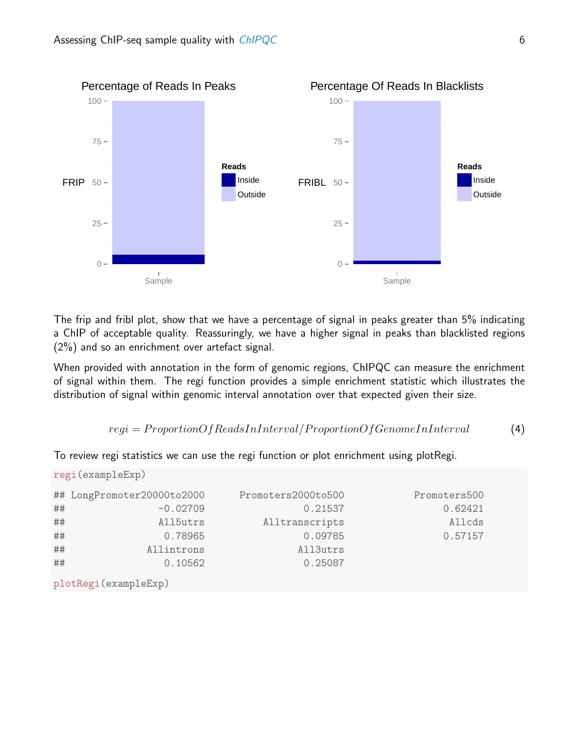

The frip and fribl plot, show that we have a percentage of signal in peaks greater than 5% indicating a ChIP of acceptable quality. Reassuringly, we have a higher signal in peaks than blacklisted regions (2%) and so an enrichment over artefact signal.

When provided with annotation in the form of genomic regions, ChIPQC can measure the enrichment of signal within them. The regi function provides a simple enrichment statistic which illustrates the distribution of signal within genomic interval annotation over that expected given their size.

```
regi = ProportionOfReadsInInterval/ProportionOfGenomeInInterval (4)
```
To review regi statistics we can use the regi function or plot enrichment using plotRegi.

|    | regi (exampleExp)          |                    |              |  |  |  |  |  |  |  |
|----|----------------------------|--------------------|--------------|--|--|--|--|--|--|--|
|    | ## LongPromoter20000to2000 | Promoters2000to500 | Promoters500 |  |  |  |  |  |  |  |
| ## | $-0.02709$                 | 0.21537            | 0.62421      |  |  |  |  |  |  |  |
| ## | All5utrs                   | Alltranscripts     | Allcds       |  |  |  |  |  |  |  |
| ## | 0.78965                    | 0.09785            | 0.57157      |  |  |  |  |  |  |  |
| ## | Allintrons                 | All3utrs           |              |  |  |  |  |  |  |  |
| ## | 0.10562                    | 0.25087            |              |  |  |  |  |  |  |  |
|    |                            |                    |              |  |  |  |  |  |  |  |

plotRegi(exampleExp)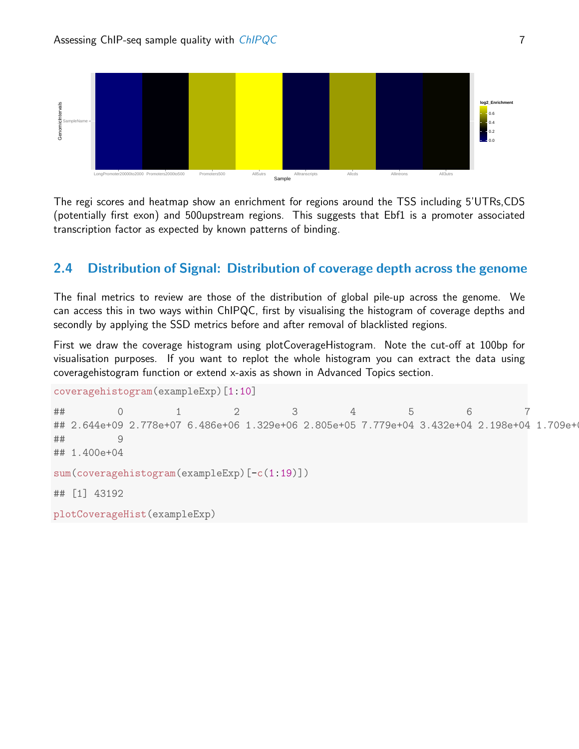

The regi scores and heatmap show an enrichment for regions around the TSS including 5'UTRs,CDS (potentially first exon) and 500upstream regions. This suggests that Ebf1 is a promoter associated transcription factor as expected by known patterns of binding.

## <span id="page-6-0"></span>2.4 Distribution of Signal: Distribution of coverage depth across the genome

The final metrics to review are those of the distribution of global pile-up across the genome. We can access this in two ways within ChIPQC, first by visualising the histogram of coverage depths and secondly by applying the SSD metrics before and after removal of blacklisted regions.

First we draw the coverage histogram using plotCoverageHistogram. Note the cut-off at 100bp for visualisation purposes. If you want to replot the whole histogram you can extract the data using coveragehistogram function or extend x-axis as shown in Advanced Topics section.

```
coveragehistogram(exampleExp)[1:10]
```

```
## 0 1 2 3 4 5 6 7
## 2.644e+09 2.778e+07 6.486e+06 1.329e+06 2.805e+05 7.779e+04 3.432e+04 2.198e+04 1.709e+04
## 9
## 1.400e+04
sum(coveragehistogram(exampleExp)[-c(1:19)])
## [1] 43192
plotCoverageHist(exampleExp)
```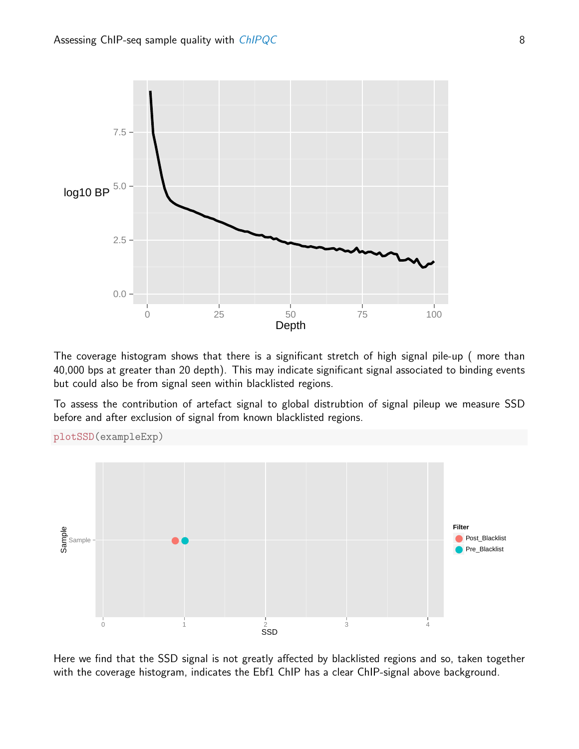

The coverage histogram shows that there is a significant stretch of high signal pile-up ( more than 40,000 bps at greater than 20 depth). This may indicate significant signal associated to binding events but could also be from signal seen within blacklisted regions.

To assess the contribution of artefact signal to global distrubtion of signal pileup we measure SSD before and after exclusion of signal from known blacklisted regions.





Here we find that the SSD signal is not greatly affected by blacklisted regions and so, taken together with the coverage histogram, indicates the Ebf1 ChIP has a clear ChIP-signal above background.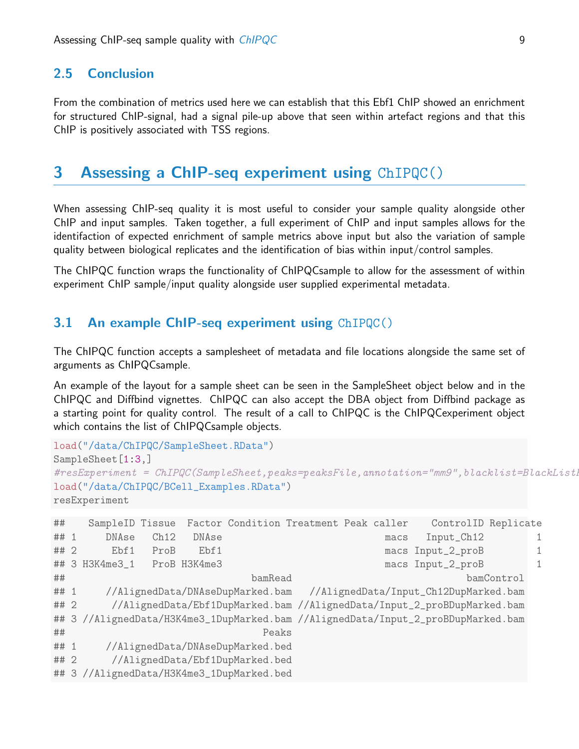### <span id="page-8-0"></span>2.5 Conclusion

From the combination of metrics used here we can establish that this Ebf1 ChIP showed an enrichment for structured ChIP-signal, had a signal pile-up above that seen within artefact regions and that this ChIP is positively associated with TSS regions.

## <span id="page-8-1"></span>3 Assessing a ChIP-seq experiment using ChIPQC()

When assessing ChIP-seq quality it is most useful to consider your sample quality alongside other ChIP and input samples. Taken together, a full experiment of ChIP and input samples allows for the identifaction of expected enrichment of sample metrics above input but also the variation of sample quality between biological replicates and the identification of bias within input/control samples.

The ChIPQC function wraps the functionality of ChIPQCsample to allow for the assessment of within experiment ChIP sample/input quality alongside user supplied experimental metadata.

### <span id="page-8-2"></span>3.1 An example ChIP-seq experiment using ChIPQC()

The ChIPQC function accepts a samplesheet of metadata and file locations alongside the same set of arguments as ChIPQCsample.

An example of the layout for a sample sheet can be seen in the SampleSheet object below and in the ChIPQC and Diffbind vignettes. ChIPQC can also accept the DBA object from Diffbind package as a starting point for quality control. The result of a call to ChIPQC is the ChIPQCexperiment object which contains the list of ChIPQCsample objects.

```
load("/data/ChIPQC/SampleSheet.RData")
SampleSheet<sup>[1:3,]</sup>
\#resExperiment = ChIPQC(SampleSheet, peaks=peaksFile, annotation="mm9", blacklist=BlackList1load("/data/ChIPQC/BCell_Examples.RData")
resExperiment
## SampleID Tissue Factor Condition Treatment Peak caller ControlID Replicate
## 1 DNAse Ch12 DNAse macs Input_Ch12 1
## 2 Ebf1 ProB Ebf1 macs Input_2_proB 1
## 3 H3K4me3_1 ProB H3K4me3 macs Input_2_proB 1
## bamRead bamControl
## 1 //AlignedData/DNAseDupMarked.bam //AlignedData/Input_Ch12DupMarked.bam
## 2 //AlignedData/Ebf1DupMarked.bam //AlignedData/Input_2_proBDupMarked.bam
## 3 //AlignedData/H3K4me3_1DupMarked.bam //AlignedData/Input_2_proBDupMarked.bam
## Peaks
## 1 //AlignedData/DNAseDupMarked.bed
## 2 //AlignedData/Ebf1DupMarked.bed
## 3 //AlignedData/H3K4me3_1DupMarked.bed
```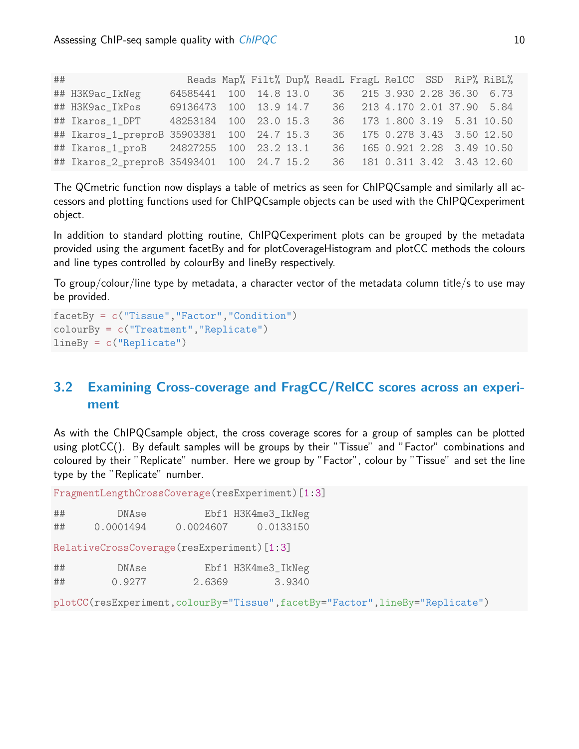| ## |                                            |                        |  |      |  |                              | Reads Map% Filt% Dup% ReadL FragL RelCC SSD RiP% RiBL% |
|----|--------------------------------------------|------------------------|--|------|--|------------------------------|--------------------------------------------------------|
|    | ## H3K9ac_IkNeg                            | 64585441 100 14.8 13.0 |  |      |  | 36 215 3.930 2.28 36.30 6.73 |                                                        |
|    | ## H3K9ac_IkPos                            | 69136473 100 13.9 14.7 |  |      |  | 36 213 4.170 2.01 37.90 5.84 |                                                        |
|    | ## Ikaros_1_DPT 48253184 100 23.0 15.3     |                        |  |      |  | 36 173 1.800 3.19 5.31 10.50 |                                                        |
|    | ## Ikaros_1_preproB 35903381 100 24.7 15.3 |                        |  |      |  | 36 175 0.278 3.43 3.50 12.50 |                                                        |
|    | ## Ikaros_1_proB 24827255 100 23.2 13.1    |                        |  | 36 - |  | 165 0.921 2.28 3.49 10.50    |                                                        |
|    | ## Ikaros_2_preproB 35493401 100 24.7 15.2 |                        |  |      |  | 36 181 0.311 3.42 3.43 12.60 |                                                        |

The QCmetric function now displays a table of metrics as seen for ChIPQCsample and similarly all accessors and plotting functions used for ChIPQCsample objects can be used with the ChIPQCexperiment object.

In addition to standard plotting routine, ChIPQCexperiment plots can be grouped by the metadata provided using the argument facetBy and for plotCoverageHistogram and plotCC methods the colours and line types controlled by colourBy and lineBy respectively.

To group/colour/line type by metadata, a character vector of the metadata column title/s to use may be provided.

```
facetBy = c("Tissue","Factor","Condition")
colourBy = c("Treatment","Replicate")
lineBy = c("Replicate")
```
## <span id="page-9-0"></span>3.2 Examining Cross-coverage and FragCC/RelCC scores across an experiment

As with the ChIPQCsample object, the cross coverage scores for a group of samples can be plotted using plotCC(). By default samples will be groups by their "Tissue" and "Factor" combinations and coloured by their "Replicate" number. Here we group by "Factor", colour by "Tissue" and set the line type by the "Replicate" number.

FragmentLengthCrossCoverage(resExperiment)[1:3]

| ## | DNAse     |           | Ebf1 H3K4me3_IkNeg |
|----|-----------|-----------|--------------------|
| ## | 0.0001494 | 0.0024607 | 0.0133150          |

RelativeCrossCoverage(resExperiment)[1:3]

| ## | DNAse  |        | Ebf1 H3K4me3_IkNeg |
|----|--------|--------|--------------------|
| ## | 0.9277 | 2.6369 | 3.9340             |

plotCC(resExperiment,colourBy="Tissue",facetBy="Factor",lineBy="Replicate")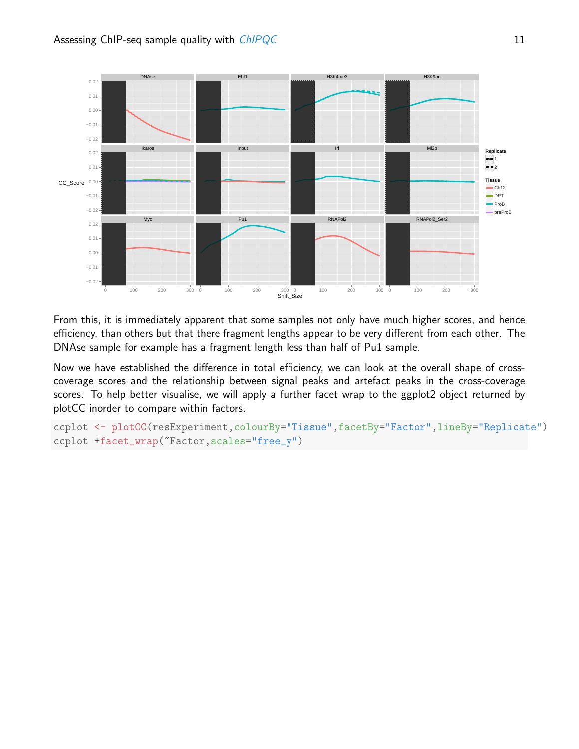

From this, it is immediately apparent that some samples not only have much higher scores, and hence efficiency, than others but that there fragment lengths appear to be very different from each other. The DNAse sample for example has a fragment length less than half of Pu1 sample.

Now we have established the difference in total efficiency, we can look at the overall shape of crosscoverage scores and the relationship between signal peaks and artefact peaks in the cross-coverage scores. To help better visualise, we will apply a further facet wrap to the ggplot2 object returned by plotCC inorder to compare within factors.

```
ccplot <- plotCC(resExperiment,colourBy="Tissue",facetBy="Factor",lineBy="Replicate")
ccplot +facet_wrap(~Factor,scales="free_y")
```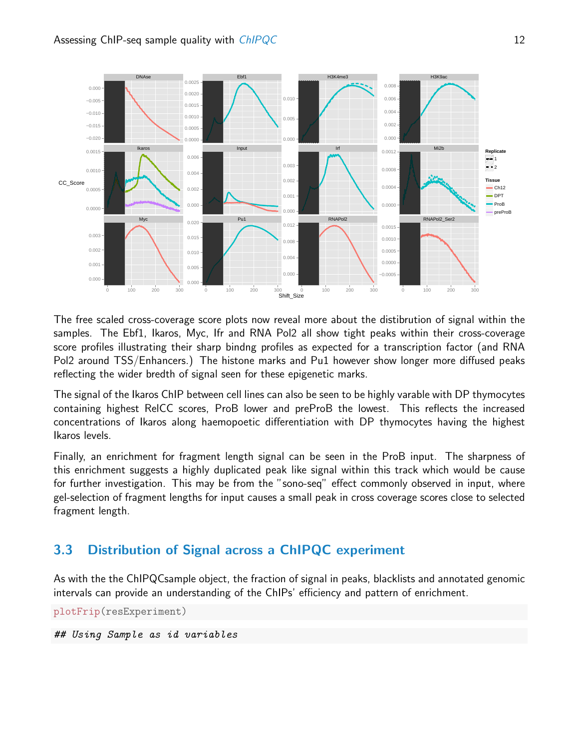

The free scaled cross-coverage score plots now reveal more about the distibrution of signal within the samples. The Ebf1, Ikaros, Myc, Ifr and RNA Pol2 all show tight peaks within their cross-coverage score profiles illustrating their sharp bindng profiles as expected for a transcription factor (and RNA Pol2 around TSS/Enhancers.) The histone marks and Pu1 however show longer more diffused peaks reflecting the wider bredth of signal seen for these epigenetic marks.

The signal of the Ikaros ChIP between cell lines can also be seen to be highly varable with DP thymocytes containing highest RelCC scores, ProB lower and preProB the lowest. This reflects the increased concentrations of Ikaros along haemopoetic differentiation with DP thymocytes having the highest Ikaros levels.

Finally, an enrichment for fragment length signal can be seen in the ProB input. The sharpness of this enrichment suggests a highly duplicated peak like signal within this track which would be cause for further investigation. This may be from the "sono-seq" effect commonly observed in input, where gel-selection of fragment lengths for input causes a small peak in cross coverage scores close to selected fragment length.

## <span id="page-11-0"></span>3.3 Distribution of Signal across a ChIPQC experiment

As with the the ChIPQCsample object, the fraction of signal in peaks, blacklists and annotated genomic intervals can provide an understanding of the ChIPs' efficiency and pattern of enrichment.

plotFrip(resExperiment)

## Using Sample as id variables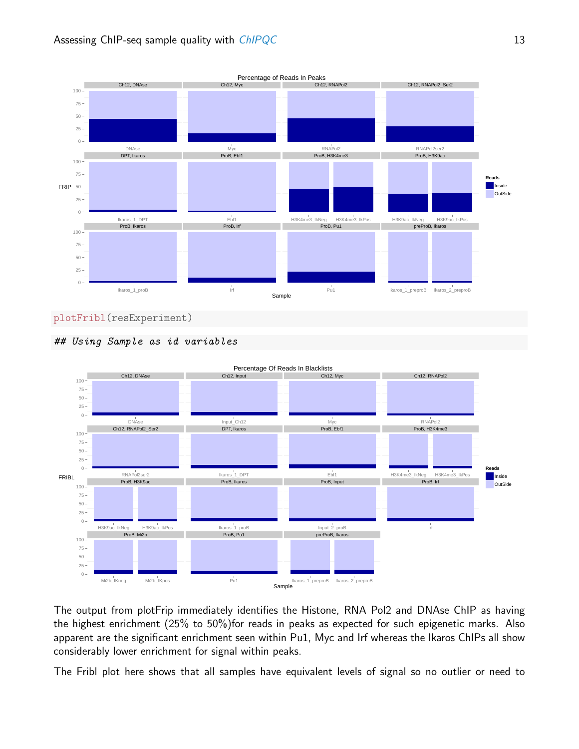







The output from plotFrip immediately identifies the Histone, RNA Pol2 and DNAse ChIP as having the highest enrichment (25% to 50%)for reads in peaks as expected for such epigenetic marks. Also apparent are the significant enrichment seen within Pu1, Myc and Irf whereas the Ikaros ChIPs all show considerably lower enrichment for signal within peaks.

The Fribl plot here shows that all samples have equivalent levels of signal so no outlier or need to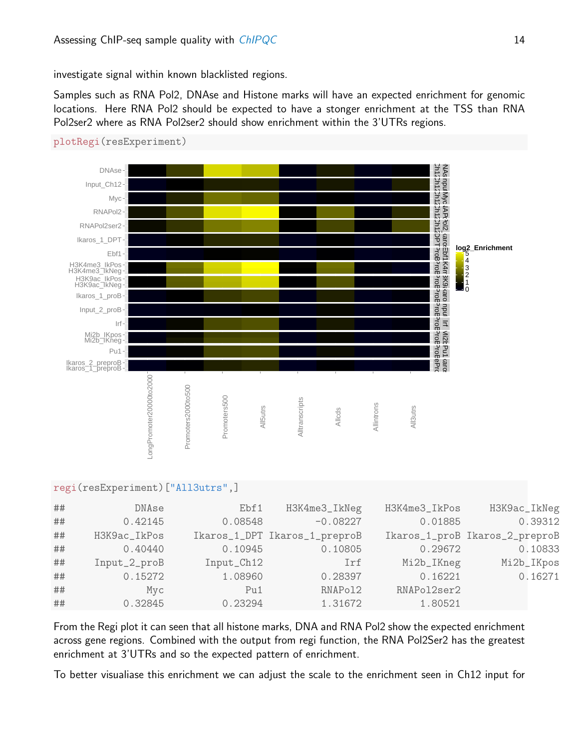investigate signal within known blacklisted regions.

Samples such as RNA Pol2, DNAse and Histone marks will have an expected enrichment for genomic locations. Here RNA Pol2 should be expected to have a stonger enrichment at the TSS than RNA Pol2ser2 where as RNA Pol2ser2 should show enrichment within the 3'UTRs regions.





#### regi(resExperiment)["All3utrs",]

| ## | DNAse        | Ebf1       | H3K4me3_IkNeg                 | H3K4me3_IkPos | H3K9ac_IkNeg                   |
|----|--------------|------------|-------------------------------|---------------|--------------------------------|
| ## | 0.42145      | 0.08548    | $-0.08227$                    | 0.01885       | 0.39312                        |
| ## | H3K9ac_IkPos |            | Ikaros_1_DPT Ikaros_1_preproB |               | Ikaros_1_proB Ikaros_2_preproB |
| ## | 0.40440      | 0.10945    | 0.10805                       | 0.29672       | 0.10833                        |
| ## | Input_2_proB | Input_Ch12 | Irf                           | Mi2b_IKneg    | Mi2b_IKpos                     |
| ## | 0.15272      | 1.08960    | 0.28397                       | 0.16221       | 0.16271                        |
| ## | Myc          | Pu1        | RNAPol2                       | RNAPol2ser2   |                                |
| ## | 0.32845      | 0.23294    | 1.31672                       | 1.80521       |                                |

From the Regi plot it can seen that all histone marks, DNA and RNA Pol2 show the expected enrichment across gene regions. Combined with the output from regi function, the RNA Pol2Ser2 has the greatest enrichment at 3'UTRs and so the expected pattern of enrichment.

To better visualiase this enrichment we can adjust the scale to the enrichment seen in Ch12 input for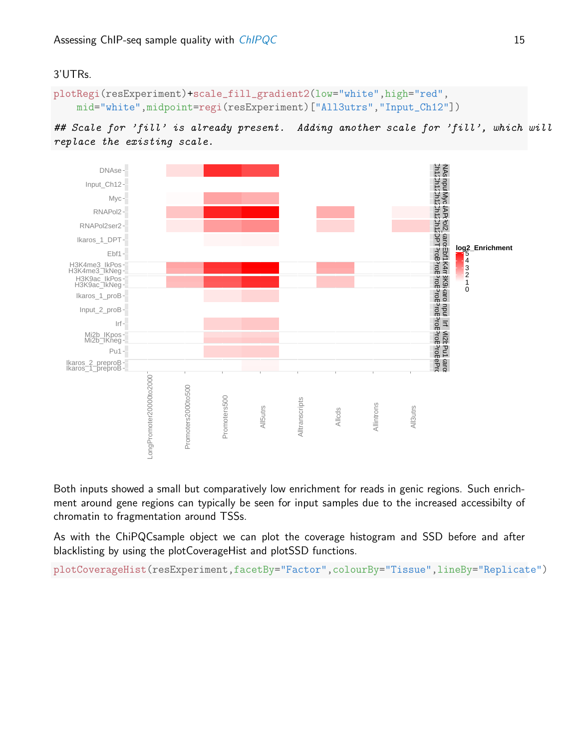#### 3'UTRs.

```
plotRegi(resExperiment)+scale_fill_gradient2(low="white",high="red",
    mid="white",midpoint=regi(resExperiment)["All3utrs","Input_Ch12"])
```




Both inputs showed a small but comparatively low enrichment for reads in genic regions. Such enrichment around gene regions can typically be seen for input samples due to the increased accessibilty of chromatin to fragmentation around TSSs.

As with the ChiPQCsample object we can plot the coverage histogram and SSD before and after blacklisting by using the plotCoverageHist and plotSSD functions.

plotCoverageHist(resExperiment,facetBy="Factor",colourBy="Tissue",lineBy="Replicate")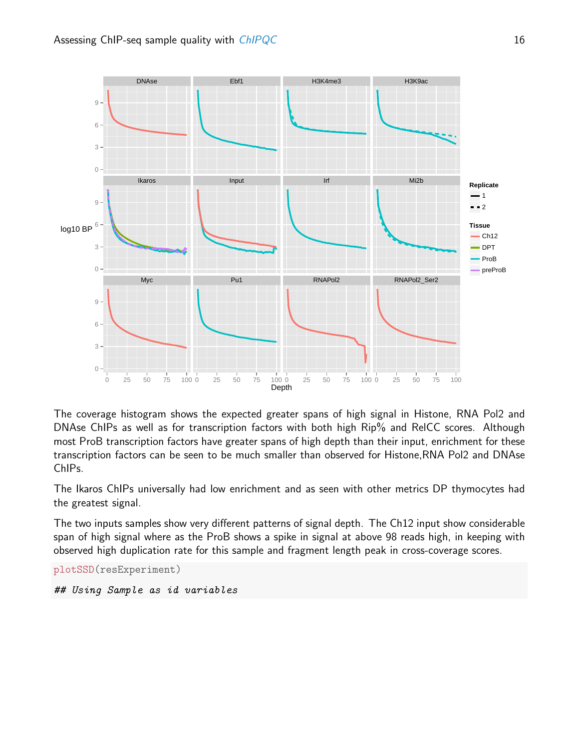

The coverage histogram shows the expected greater spans of high signal in Histone, RNA Pol2 and DNAse ChIPs as well as for transcription factors with both high Rip% and RelCC scores. Although most ProB transcription factors have greater spans of high depth than their input, enrichment for these transcription factors can be seen to be much smaller than observed for Histone,RNA Pol2 and DNAse ChIPs.

The Ikaros ChIPs universally had low enrichment and as seen with other metrics DP thymocytes had the greatest signal.

The two inputs samples show very different patterns of signal depth. The Ch12 input show considerable span of high signal where as the ProB shows a spike in signal at above 98 reads high, in keeping with observed high duplication rate for this sample and fragment length peak in cross-coverage scores.

```
plotSSD(resExperiment)
```

```
## Using Sample as id variables
```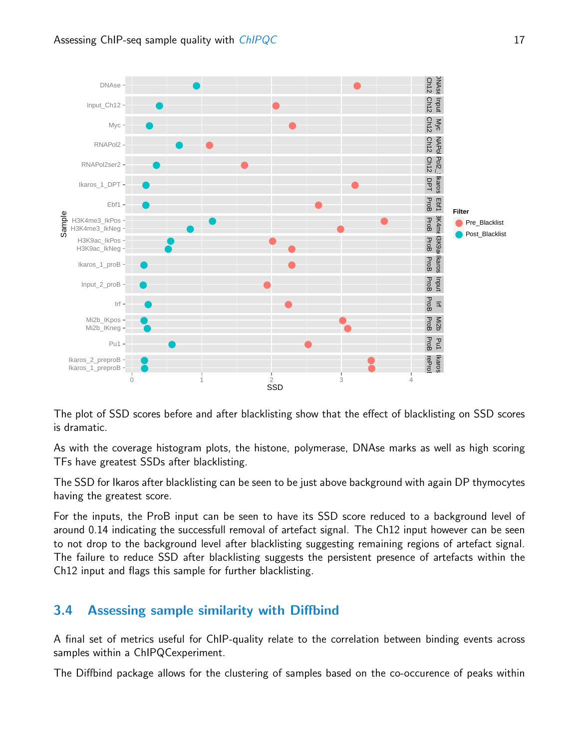

The plot of SSD scores before and after blacklisting show that the effect of blacklisting on SSD scores is dramatic.

As with the coverage histogram plots, the histone, polymerase, DNAse marks as well as high scoring TFs have greatest SSDs after blacklisting.

The SSD for Ikaros after blacklisting can be seen to be just above background with again DP thymocytes having the greatest score.

For the inputs, the ProB input can be seen to have its SSD score reduced to a background level of around 0.14 indicating the successfull removal of artefact signal. The Ch12 input however can be seen to not drop to the background level after blacklisting suggesting remaining regions of artefact signal. The failure to reduce SSD after blacklisting suggests the persistent presence of artefacts within the Ch12 input and flags this sample for further blacklisting.

## <span id="page-16-0"></span>3.4 Assessing sample similarity with Diffbind

A final set of metrics useful for ChIP-quality relate to the correlation between binding events across samples within a ChIPQCexperiment.

The Diffbind package allows for the clustering of samples based on the co-occurence of peaks within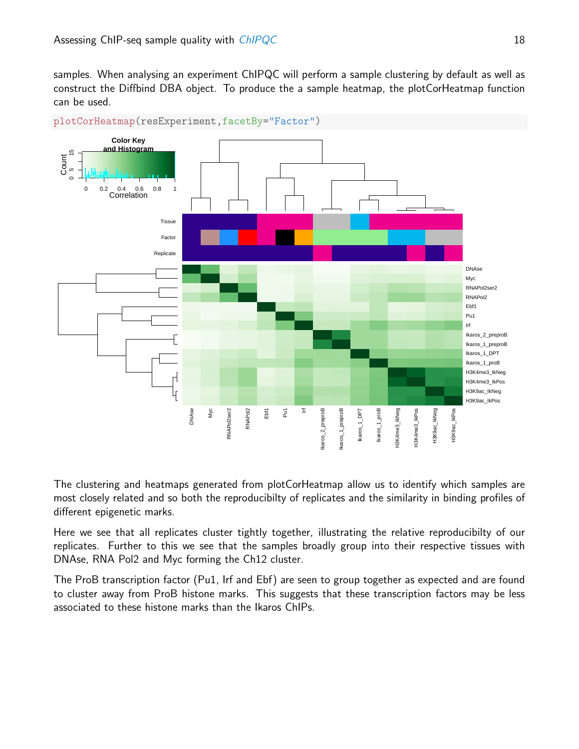samples. When analysing an experiment ChIPQC will perform a sample clustering by default as well as construct the Diffbind DBA object. To produce the a sample heatmap, the plotCorHeatmap function can be used.



plotCorHeatmap(resExperiment,facetBy="Factor")

The clustering and heatmaps generated from plotCorHeatmap allow us to identify which samples are most closely related and so both the reproducibilty of replicates and the similarity in binding profiles of different epigenetic marks.

Here we see that all replicates cluster tightly together, illustrating the relative reproducibilty of our replicates. Further to this we see that the samples broadly group into their respective tissues with DNAse, RNA Pol2 and Myc forming the Ch12 cluster.

<span id="page-17-0"></span>The ProB transcription factor (Pu1, Irf and Ebf) are seen to group together as expected and are found to cluster away from ProB histone marks. This suggests that these transcription factors may be less associated to these histone marks than the Ikaros ChIPs.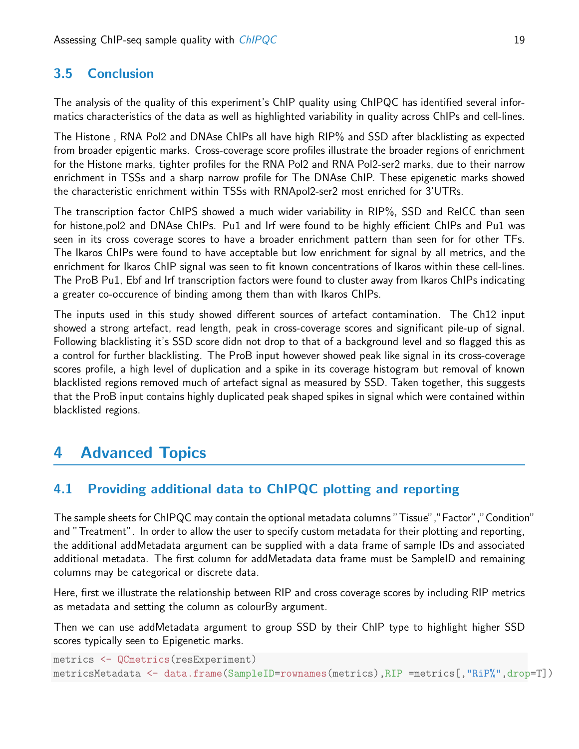### 3.5 Conclusion

The analysis of the quality of this experiment's ChIP quality using ChIPQC has identified several informatics characteristics of the data as well as highlighted variability in quality across ChIPs and cell-lines.

The Histone , RNA Pol2 and DNAse ChIPs all have high RIP% and SSD after blacklisting as expected from broader epigentic marks. Cross-coverage score profiles illustrate the broader regions of enrichment for the Histone marks, tighter profiles for the RNA Pol2 and RNA Pol2-ser2 marks, due to their narrow enrichment in TSSs and a sharp narrow profile for The DNAse ChIP. These epigenetic marks showed the characteristic enrichment within TSSs with RNApol2-ser2 most enriched for 3'UTRs.

The transcription factor ChIPS showed a much wider variability in RIP%, SSD and RelCC than seen for histone,pol2 and DNAse ChIPs. Pu1 and Irf were found to be highly efficient ChIPs and Pu1 was seen in its cross coverage scores to have a broader enrichment pattern than seen for for other TFs. The Ikaros ChIPs were found to have acceptable but low enrichment for signal by all metrics, and the enrichment for Ikaros ChIP signal was seen to fit known concentrations of Ikaros within these cell-lines. The ProB Pu1, Ebf and Irf transcription factors were found to cluster away from Ikaros ChIPs indicating a greater co-occurence of binding among them than with Ikaros ChIPs.

The inputs used in this study showed different sources of artefact contamination. The Ch12 input showed a strong artefact, read length, peak in cross-coverage scores and significant pile-up of signal. Following blacklisting it's SSD score didn not drop to that of a background level and so flagged this as a control for further blacklisting. The ProB input however showed peak like signal in its cross-coverage scores profile, a high level of duplication and a spike in its coverage histogram but removal of known blacklisted regions removed much of artefact signal as measured by SSD. Taken together, this suggests that the ProB input contains highly duplicated peak shaped spikes in signal which were contained within blacklisted regions.

## <span id="page-18-0"></span>4 Advanced Topics

## <span id="page-18-1"></span>4.1 Providing additional data to ChIPQC plotting and reporting

The sample sheets for ChIPQC may contain the optional metadata columns "Tissue","Factor","Condition" and "Treatment". In order to allow the user to specify custom metadata for their plotting and reporting, the additional addMetadata argument can be supplied with a data frame of sample IDs and associated additional metadata. The first column for addMetadata data frame must be SampleID and remaining columns may be categorical or discrete data.

Here, first we illustrate the relationship between RIP and cross coverage scores by including RIP metrics as metadata and setting the column as colourBy argument.

Then we can use addMetadata argument to group SSD by their ChIP type to highlight higher SSD scores typically seen to Epigenetic marks.

```
metrics <- QCmetrics(resExperiment)
metricsMetadata <- data.frame(SampleID=rownames(metrics),RIP =metrics[,"RiP%",drop=T])
```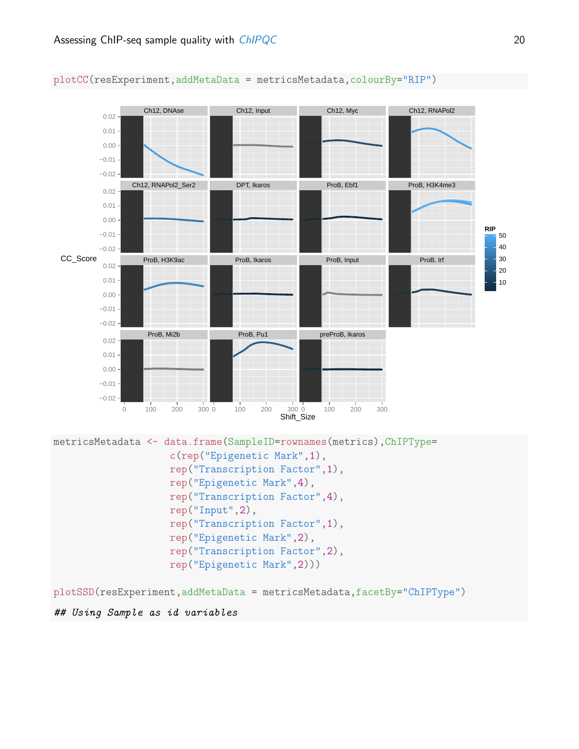

plotCC(resExperiment,addMetaData = metricsMetadata,colourBy="RIP")

plotSSD(resExperiment,addMetaData = metricsMetadata,facetBy="ChIPType")

#### ## Using Sample as id variables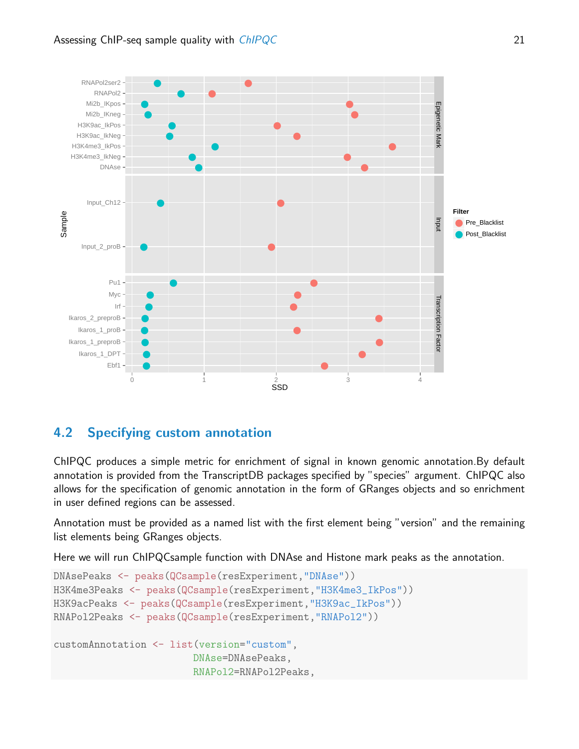

## <span id="page-20-0"></span>4.2 Specifying custom annotation

ChIPQC produces a simple metric for enrichment of signal in known genomic annotation.By default annotation is provided from the TranscriptDB packages specified by "species" argument. ChIPQC also allows for the specification of genomic annotation in the form of GRanges objects and so enrichment in user defined regions can be assessed.

Annotation must be provided as a named list with the first element being "version" and the remaining list elements being GRanges objects.

Here we will run ChIPQCsample function with DNAse and Histone mark peaks as the annotation.

```
DNAsePeaks <- peaks(QCsample(resExperiment,"DNAse"))
H3K4me3Peaks <- peaks(QCsample(resExperiment,"H3K4me3_IkPos"))
H3K9acPeaks <- peaks(QCsample(resExperiment,"H3K9ac_IkPos"))
RNAPol2Peaks <- peaks(QCsample(resExperiment,"RNAPol2"))
customAnnotation <- list(version="custom",
                        DNAse=DNAsePeaks,
                        RNAPol2=RNAPol2Peaks,
```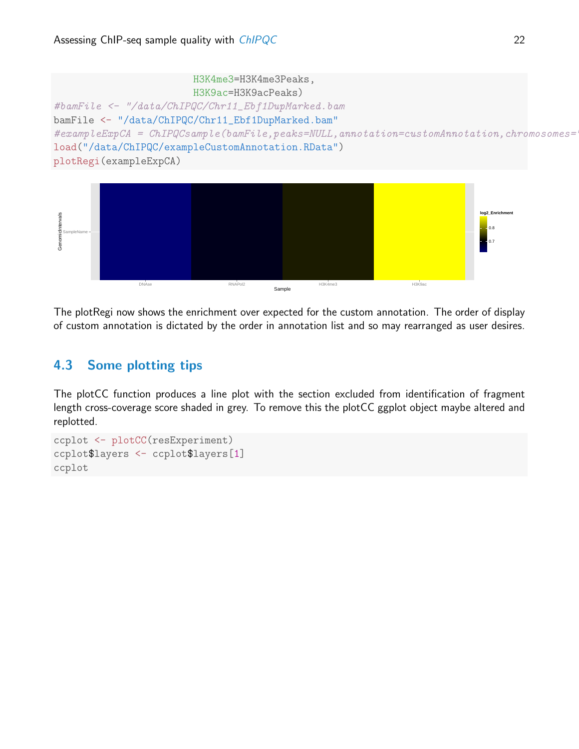



The plotRegi now shows the enrichment over expected for the custom annotation. The order of display of custom annotation is dictated by the order in annotation list and so may rearranged as user desires.

## <span id="page-21-0"></span>4.3 Some plotting tips

The plotCC function produces a line plot with the section excluded from identification of fragment length cross-coverage score shaded in grey. To remove this the plotCC ggplot object maybe altered and replotted.

```
ccplot <- plotCC(resExperiment)
ccplot$layers <- ccplot$layers[1]
ccplot
```
0.8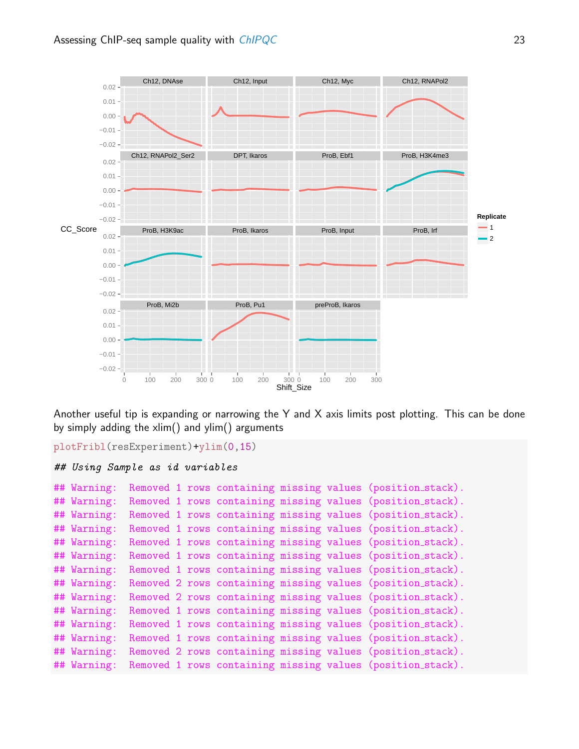

Another useful tip is expanding or narrowing the Y and X axis limits post plotting. This can be done by simply adding the xlim() and ylim() arguments

```
plotFribl(resExperiment)+ylim(0,15)
## Using Sample as id variables
## Warning: Removed 1 rows containing missing values (position_stack).
## Warning: Removed 1 rows containing missing values (position_stack).
## Warning: Removed 1 rows containing missing values (position_stack).
## Warning: Removed 1 rows containing missing values (position_stack).
## Warning: Removed 1 rows containing missing values (position_stack).
## Warning: Removed 1 rows containing missing values (position_stack).
## Warning: Removed 1 rows containing missing values (position_stack).
## Warning: Removed 2 rows containing missing values (position_stack).
## Warning: Removed 2 rows containing missing values (position stack).
## Warning: Removed 1 rows containing missing values (position_stack).
## Warning: Removed 1 rows containing missing values (position_stack).
## Warning: Removed 1 rows containing missing values (position_stack).
## Warning: Removed 2 rows containing missing values (position stack).
## Warning: Removed 1 rows containing missing values (position_stack).
```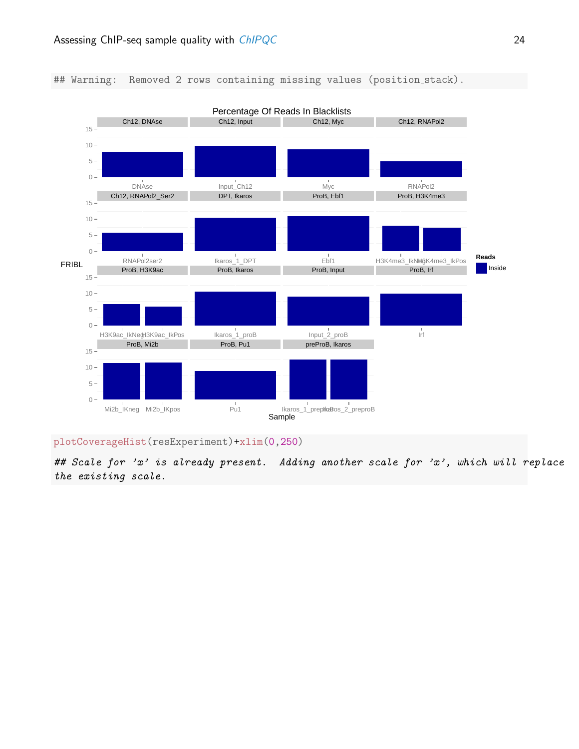#### ## Warning: Removed 2 rows containing missing values (position\_stack).



plotCoverageHist(resExperiment)+xlim(0,250)

## Scale for 'x' is already present. Adding another scale for 'x', which will replace the existing scale.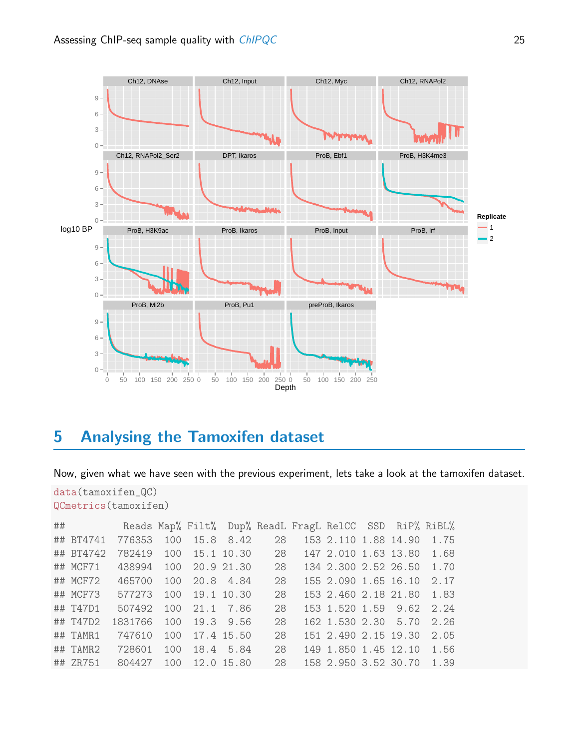

## <span id="page-24-0"></span>5 Analysing the Tamoxifen dataset

Now, given what we have seen with the previous experiment, lets take a look at the tamoxifen dataset.

```
data(tamoxifen_QC)
QCmetrics(tamoxifen)
## Reads Map% Filt% Dup% ReadL FragL RelCC SSD RiP% RiBL%
## BT4741 776353 100 15.8 8.42 28 153 2.110 1.88 14.90 1.75
## BT4742 782419 100 15.1 10.30 28 147 2.010 1.63 13.80 1.68
## MCF71 438994 100 20.9 21.30 28 134 2.300 2.52 26.50 1.70
## MCF72 465700 100 20.8 4.84 28 155 2.090 1.65 16.10 2.17
## MCF73 577273 100 19.1 10.30 28 153 2.460 2.18 21.80 1.83
## T47D1 507492 100 21.1 7.86 28 153 1.520 1.59 9.62 2.24
## T47D2 1831766 100 19.3 9.56 28 162 1.530 2.30 5.70 2.26
## TAMR1 747610 100 17.4 15.50 28 151 2.490 2.15 19.30 2.05
## TAMR2 728601 100 18.4 5.84 28 149 1.850 1.45 12.10 1.56
## ZR751 804427 100 12.0 15.80 28 158 2.950 3.52 30.70 1.39
```